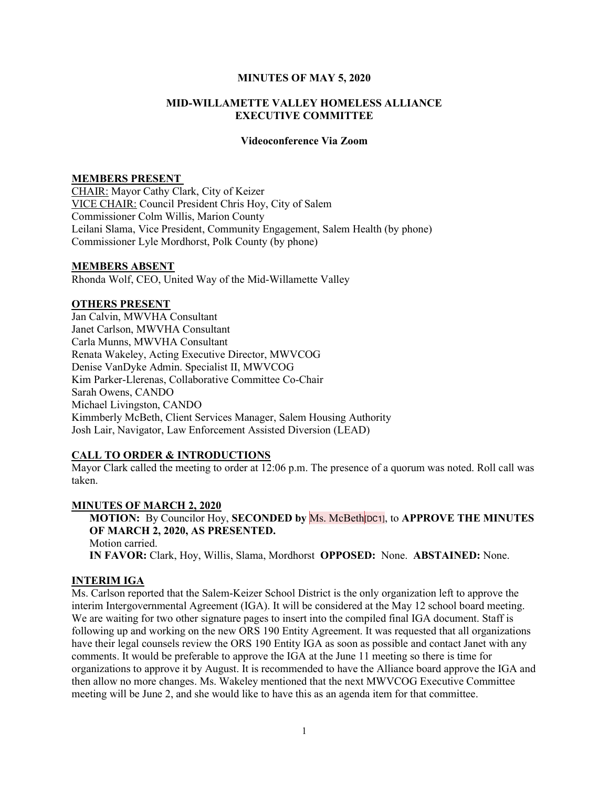#### MINUTES OF MAY 5, 2020

### MID-WILLAMETTE VALLEY HOMELESS ALLIANCE EXECUTIVE COMMITTEE

#### Videoconference Via Zoom

### MEMBERS PRESENT

CHAIR: Mayor Cathy Clark, City of Keizer VICE CHAIR: Council President Chris Hoy, City of Salem Commissioner Colm Willis, Marion County Leilani Slama, Vice President, Community Engagement, Salem Health (by phone) Commissioner Lyle Mordhorst, Polk County (by phone)

#### MEMBERS ABSENT

Rhonda Wolf, CEO, United Way of the Mid-Willamette Valley

#### OTHERS PRESENT

Jan Calvin, MWVHA Consultant Janet Carlson, MWVHA Consultant Carla Munns, MWVHA Consultant Renata Wakeley, Acting Executive Director, MWVCOG Denise VanDyke Admin. Specialist II, MWVCOG Kim Parker-Llerenas, Collaborative Committee Co-Chair Sarah Owens, CANDO Michael Livingston, CANDO Kimmberly McBeth, Client Services Manager, Salem Housing Authority Josh Lair, Navigator, Law Enforcement Assisted Diversion (LEAD)

### CALL TO ORDER & INTRODUCTIONS

Mayor Clark called the meeting to order at 12:06 p.m. The presence of a quorum was noted. Roll call was taken.

#### MINUTES OF MARCH 2, 2020

MOTION: By Councilor Hoy, SECONDED by Ms. McBeth[DC1], to APPROVE THE MINUTES OF MARCH 2, 2020, AS PRESENTED. Motion carried. IN FAVOR: Clark, Hoy, Willis, Slama, Mordhorst OPPOSED: None. ABSTAINED: None.

### INTERIM IGA

Ms. Carlson reported that the Salem-Keizer School District is the only organization left to approve the interim Intergovernmental Agreement (IGA). It will be considered at the May 12 school board meeting. We are waiting for two other signature pages to insert into the compiled final IGA document. Staff is following up and working on the new ORS 190 Entity Agreement. It was requested that all organizations have their legal counsels review the ORS 190 Entity IGA as soon as possible and contact Janet with any comments. It would be preferable to approve the IGA at the June 11 meeting so there is time for organizations to approve it by August. It is recommended to have the Alliance board approve the IGA and then allow no more changes. Ms. Wakeley mentioned that the next MWVCOG Executive Committee meeting will be June 2, and she would like to have this as an agenda item for that committee.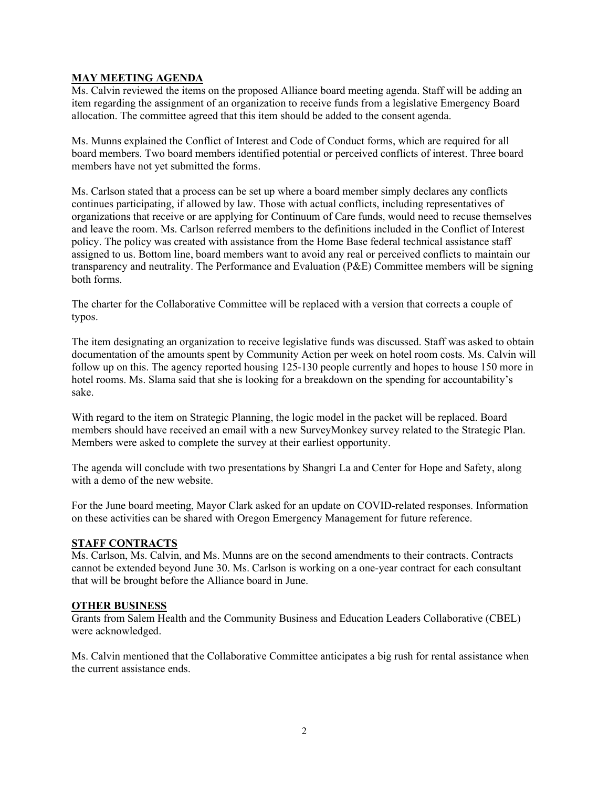# MAY MEETING AGENDA

Ms. Calvin reviewed the items on the proposed Alliance board meeting agenda. Staff will be adding an item regarding the assignment of an organization to receive funds from a legislative Emergency Board allocation. The committee agreed that this item should be added to the consent agenda.

Ms. Munns explained the Conflict of Interest and Code of Conduct forms, which are required for all board members. Two board members identified potential or perceived conflicts of interest. Three board members have not yet submitted the forms.

Ms. Carlson stated that a process can be set up where a board member simply declares any conflicts continues participating, if allowed by law. Those with actual conflicts, including representatives of organizations that receive or are applying for Continuum of Care funds, would need to recuse themselves and leave the room. Ms. Carlson referred members to the definitions included in the Conflict of Interest policy. The policy was created with assistance from the Home Base federal technical assistance staff assigned to us. Bottom line, board members want to avoid any real or perceived conflicts to maintain our transparency and neutrality. The Performance and Evaluation (P&E) Committee members will be signing both forms.

The charter for the Collaborative Committee will be replaced with a version that corrects a couple of typos.

The item designating an organization to receive legislative funds was discussed. Staff was asked to obtain documentation of the amounts spent by Community Action per week on hotel room costs. Ms. Calvin will follow up on this. The agency reported housing 125-130 people currently and hopes to house 150 more in hotel rooms. Ms. Slama said that she is looking for a breakdown on the spending for accountability's sake.

With regard to the item on Strategic Planning, the logic model in the packet will be replaced. Board members should have received an email with a new SurveyMonkey survey related to the Strategic Plan. Members were asked to complete the survey at their earliest opportunity.

The agenda will conclude with two presentations by Shangri La and Center for Hope and Safety, along with a demo of the new website.

For the June board meeting, Mayor Clark asked for an update on COVID-related responses. Information on these activities can be shared with Oregon Emergency Management for future reference.

# STAFF CONTRACTS

Ms. Carlson, Ms. Calvin, and Ms. Munns are on the second amendments to their contracts. Contracts cannot be extended beyond June 30. Ms. Carlson is working on a one-year contract for each consultant that will be brought before the Alliance board in June.

# OTHER BUSINESS

Grants from Salem Health and the Community Business and Education Leaders Collaborative (CBEL) were acknowledged.

Ms. Calvin mentioned that the Collaborative Committee anticipates a big rush for rental assistance when the current assistance ends.